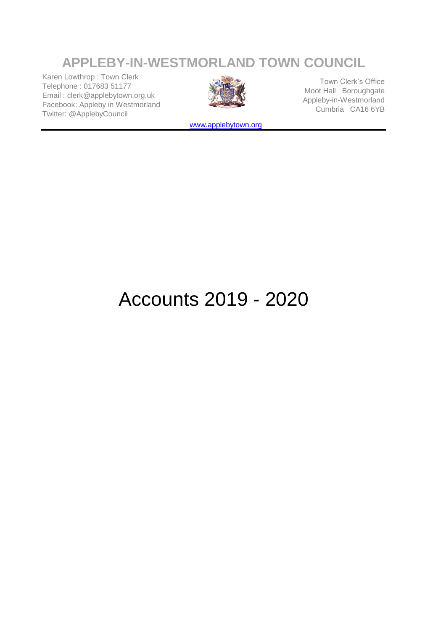# **APPLEBY**‑**IN**‑**WESTMORLAND TOWN COUNCIL**

Karen Lowthrop : Town Clerk Telephone : 017683 51177 Email : clerk@applebytown.org.uk Facebook: Appleby in Westmorland Twitter: @ApplebyCouncil



Town Clerk's Office Moot Hall Boroughgate Appleby-in-Westmorland Cumbria CA16 6YB

[www](http://www.applebytown.org/).applebytown.org

# Accounts 2019 - 2020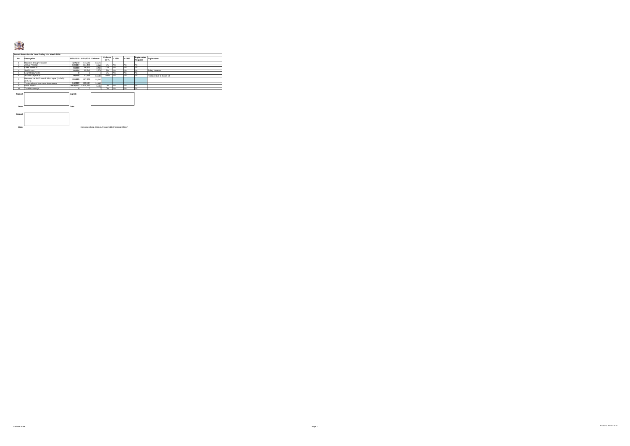#### 清水

|                | Annual Return for the Year Ending 31st March 2020          |           |                                |                                                        |                  |      |          |                         |                         |
|----------------|------------------------------------------------------------|-----------|--------------------------------|--------------------------------------------------------|------------------|------|----------|-------------------------|-------------------------|
| No.            | Description                                                |           | 31/03/2020 31/03/2019 Variance |                                                        | Variance<br>as % | >15% | $<$ £200 | Explanation<br>Regulred | Explanation             |
|                | Balances brought forward                                   | 127,272   | 115,202                        | 12.070                                                 |                  |      |          |                         |                         |
| $\overline{z}$ | Annual Precept                                             | 110.307   | 104.444                        | 5.863                                                  | 5%               | No   | No       | No.                     |                         |
| 3              | Other Receipts                                             | 83,898    | 86,323                         | $-2.425$                                               | $-3%$            | No   | No       | No.                     |                         |
| $\Delta$       | Staff Costs                                                | 88.114    | 85,543                         | 2.571                                                  | 3%               | No   | No       | No                      | Salary Increase         |
| 5              | Loan Repayments                                            | $\Omega$  |                                |                                                        | 0%               | No   | No       | No.                     |                         |
| 6              | All other payments                                         | 80.248    | 93.154                         | $-12.906$                                              | $-16%$           | No   | No       | No.                     | Reduced due to Covid 19 |
| $\tau$         | Balances carried forward. Must equal (1+2+3)-<br>$(4+5+6)$ | 153.115   | 127,272                        | 25.843                                                 |                  |      |          |                         |                         |
| 8              | Total cash and short term investments                      | 142.999   | 118,817                        | 24.182                                                 |                  |      |          |                         |                         |
| 9              | Fixed Assets                                               | 4,476,102 | 4,474,252                      | 1.850                                                  | 0%               | No   | No       | No                      |                         |
| 10             | <b>Total Borrowings</b>                                    | $\Omega$  | $\sim$                         | $\Omega$                                               | 0%               | No   | No       | No.                     |                         |
|                |                                                            |           |                                |                                                        |                  |      |          |                         |                         |
| Signed:        |                                                            | Signed:   |                                |                                                        |                  |      |          |                         |                         |
|                |                                                            |           |                                |                                                        |                  |      |          |                         |                         |
|                |                                                            |           |                                |                                                        |                  |      |          |                         |                         |
|                |                                                            |           |                                |                                                        |                  |      |          |                         |                         |
|                |                                                            |           |                                |                                                        |                  |      |          |                         |                         |
| Date:          |                                                            | Date:     |                                |                                                        |                  |      |          |                         |                         |
|                |                                                            |           |                                |                                                        |                  |      |          |                         |                         |
|                |                                                            |           |                                |                                                        |                  |      |          |                         |                         |
| Signed:        |                                                            |           |                                |                                                        |                  |      |          |                         |                         |
|                |                                                            |           |                                |                                                        |                  |      |          |                         |                         |
|                |                                                            |           |                                |                                                        |                  |      |          |                         |                         |
|                |                                                            |           |                                |                                                        |                  |      |          |                         |                         |
| Date:          |                                                            |           |                                | Karen Lowthron (Clerk & Responsible Financial Officer) |                  |      |          |                         |                         |
|                |                                                            |           |                                |                                                        |                  |      |          |                         |                         |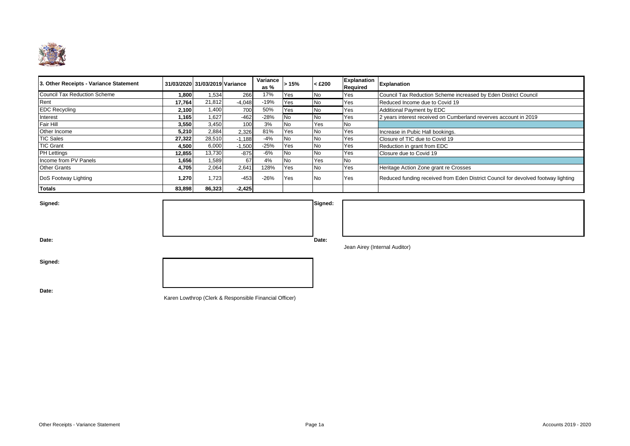

| 3. Other Receipts - Variance Statement |        | 31/03/2020 31/03/2019 Variance |          | Variance<br>as % | >15%      | $<$ £200  | <b>Explanation</b><br>Required | <b>Explanation</b>                                                                |
|----------------------------------------|--------|--------------------------------|----------|------------------|-----------|-----------|--------------------------------|-----------------------------------------------------------------------------------|
| Council Tax Reduction Scheme           | 1.800  | 1,534                          | 266      | 17%              | Yes       | <b>No</b> | Yes                            | Council Tax Reduction Scheme increased by Eden District Council                   |
| Rent                                   | 17,764 | 21,812                         | $-4,048$ | $-19%$           | Yes       | <b>No</b> | Yes                            | Reduced Income due to Covid 19                                                    |
| <b>EDC Recycling</b>                   | 2,100  | 1,400                          | 700      | 50%              | Yes       | <b>No</b> | Yes                            | Additional Payment by EDC                                                         |
| Interest                               | 1,165  | 1,627                          | $-462$   | $-28%$           | <b>No</b> | <b>No</b> | Yes                            | 2 years interest received on Cumberland reverves account in 2019                  |
| Fair Hill                              | 3,550  | 3,450                          | 100      | 3%               | <b>No</b> | Yes       | <b>No</b>                      |                                                                                   |
| Other Income                           | 5,210  | 2,884                          | 2,326    | 81%              | Yes       | <b>No</b> | Yes                            | Increase in Pubic Hall bookings.                                                  |
| <b>TIC Sales</b>                       | 27,322 | 28,510                         | $-1,188$ | $-4%$            | <b>No</b> | <b>No</b> | Yes                            | Closure of TIC due to Covid 19                                                    |
| <b>TIC Grant</b>                       | 4,500  | 6,000                          | $-1,500$ | $-25%$           | Yes       | <b>No</b> | Yes                            | Reduction in grant from EDC                                                       |
| <b>PH Lettings</b>                     | 12,855 | 13,730                         | $-875$   | -6%              | <b>No</b> | <b>No</b> | Yes                            | Closure due to Covid 19                                                           |
| Income from PV Panels                  | 1,656  | 1,589                          | 67       | 4%               | <b>No</b> | Yes       | No                             |                                                                                   |
| <b>Other Grants</b>                    | 4,705  | 2,064                          | 2,64'    | 128%             | Yes       | <b>No</b> | Yes                            | Heritage Action Zone grant re Crosses                                             |
| DoS Footway Lighting                   | 1,270  | 1,723                          | $-453$   | $-26%$           | Yes       | <b>No</b> | Yes                            | Reduced funding received from Eden District Council for devolved footway lighting |
| <b>Totals</b>                          | 83,898 | 86,323                         | $-2.425$ |                  |           |           |                                |                                                                                   |

| Signed: | Signed: |
|---------|---------|
|         |         |
|         |         |
| Date:   | Date:   |

Jean Airey (Internal Auditor)

**Signed:**

**Date:**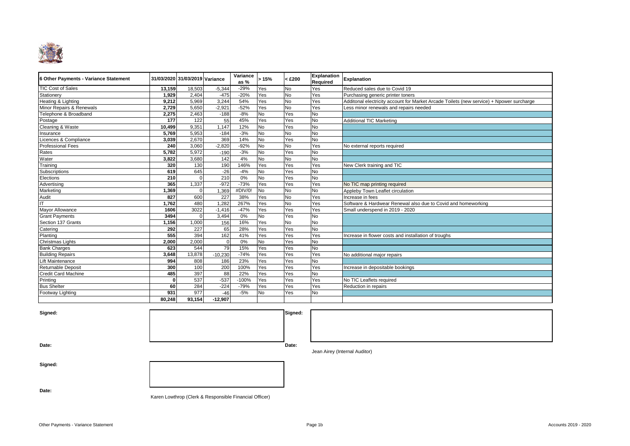

| 6 Other Payments - Variance Statement |        | 31/03/2020 31/03/2019 Variance |            | Variance<br>as $%$ | >15%      | $<$ £200  | <b>Explanation</b><br><b>Required</b> | <b>Explanation</b>                                                                       |
|---------------------------------------|--------|--------------------------------|------------|--------------------|-----------|-----------|---------------------------------------|------------------------------------------------------------------------------------------|
| <b>TIC Cost of Sales</b>              | 13,159 | 18,503                         | $-5,344$   | $-29%$             | Yes       | No        | Yes                                   | Reduced sales due to Covid 19                                                            |
| Stationery                            | 1.929  | 2,404                          | $-475$     | $-20%$             | Yes       | No        | Yes                                   | Purchasing generic printer toners                                                        |
| Heating & Lighting                    | 9.212  | 5,969                          | 3,244      | 54%                | Yes       | No        | Yes                                   | Additonal electricity account for Market Arcade Toilets (new service) + Npower surcharge |
| Minor Repairs & Renewals              | 2,729  | 5,650                          | $-2,921$   | $-52%$             | Yes       | No        | Yes                                   | Less minor renewals and repairs needed                                                   |
| Telephone & Broadband                 | 2,275  | 2,463                          | $-188$     | $-8%$              | <b>No</b> | Yes       | <b>No</b>                             |                                                                                          |
| Postage                               | 177    | 122                            | 55         | 45%                | Yes       | Yes       | No                                    | <b>Additional TIC Marketing</b>                                                          |
| Cleaning & Waste                      | 10,499 | 9,351                          | 1.147      | 12%                | <b>No</b> | Yes       | No                                    |                                                                                          |
| Insurance                             | 5,769  | 5,953                          | $-184$     | $-3%$              | <b>No</b> | <b>No</b> | <b>No</b>                             |                                                                                          |
| Licences & Compliance                 | 3,039  | 2,670                          | 369        | 14%                | <b>No</b> | Yes       | No                                    |                                                                                          |
| <b>Professional Fees</b>              | 240    | 3,060                          | $-2,820$   | $-92%$             | <b>No</b> | No        | Yes                                   | No external reports required                                                             |
| Rates                                 | 5,782  | 5,972                          | $-190$     | $-3%$              | <b>No</b> | Yes       | <b>No</b>                             |                                                                                          |
| Water                                 | 3,822  | 3,680                          | 142        | 4%                 | <b>No</b> | No        | No                                    |                                                                                          |
| Training                              | 320    | 130                            | 190        | 146%               | Yes       | Yes       | Yes                                   | New Clerk training and TIC                                                               |
| Subscriptions                         | 619    | 645                            | $-26$      | $-4%$              | No        | Yes       | <b>No</b>                             |                                                                                          |
| Elections                             | 210    |                                | 210        | 0%                 | No        | Yes       | <b>No</b>                             |                                                                                          |
| Advertising                           | 365    | 1,337                          | $-972$     | $-73%$             | Yes       | Yes       | Yes                                   | No TIC map printing required                                                             |
| Marketing                             | .369   | $\Omega$                       | 1,369      | #DIV/0             | <b>No</b> | No        | <b>No</b>                             | Appleby Town Leaflet circulation                                                         |
| Audit                                 | 827    | 600                            | 227        | 38%                | Yes       | No        | Yes                                   | Increase in fees                                                                         |
| ΙT                                    | ,762   | 480                            | 1.282      | 267%               | Yes       | No        | Yes                                   | Software & Hardwear Renewal also due to Covid and homeworking                            |
| Mayor Allowance                       | 1606   | 3022                           | $-1.416$   | $-47%$             | Yes       | Yes       | Yes                                   | Small underspend in 2019 - 2020                                                          |
| <b>Grant Payments</b>                 | 3494   | $\Omega$                       | 3,494      | 0%                 | <b>No</b> | Yes       | <b>No</b>                             |                                                                                          |
| Section 137 Grants                    | 1,156  | 1.000                          | 156        | 16%                | Yes       | No        | No                                    |                                                                                          |
| Catering                              | 292    | 227                            | 65         | 28%                | Yes       | Yes       | <b>No</b>                             |                                                                                          |
| Planting                              | 555    | 394                            | 162        | 41%                | Yes       | Yes       | Yes                                   | Increase in flower costs and installation of troughs                                     |
| Christmas Lights                      | 2,000  | 2,000                          | $\sqrt{ }$ | 0%                 | <b>No</b> | Yes       | <b>No</b>                             |                                                                                          |
| <b>Bank Charges</b>                   | 623    | 544                            | 79         | 15%                | Yes       | Yes       | No                                    |                                                                                          |
| <b>Building Repairs</b>               | 3,648  | 13,878                         | $-10,230$  | $-74%$             | Yes       | Yes       | Yes                                   | No additional major repairs                                                              |
| Lift Maintenance                      | 994    | 808                            | 186        | 23%                | Yes       | Yes       | <b>No</b>                             |                                                                                          |
| Returnable Deposit                    | 300    | 100                            | 200        | 100%               | Yes       | Yes       | Yes                                   | Increase in depositable bookings                                                         |
| <b>Credit Card Machine</b>            | 485    | 397                            | 88         | 22%                | Yes       | Yes       | No                                    |                                                                                          |
| Printing                              |        | 537                            | $-537$     | $-100%$            | Yes       | Yes       | Yes                                   | No TIC Leaflets required                                                                 |
| <b>Bus Shelter</b>                    | 60     | 284                            | $-224$     | $-79%$             | Yes       | Yes       | Yes                                   | Reduction in repairs                                                                     |
| Footway Lighting                      | 931    | 977                            | $-46$      | $-5%$              | <b>No</b> | Yes       | <b>No</b>                             |                                                                                          |
|                                       | 80.248 | 93,154                         | $-12,907$  |                    |           |           |                                       |                                                                                          |

**Signed: Signed:**

**Date: Date:**

Jean Airey (Internal Auditor)

**Signed:**

**Date:**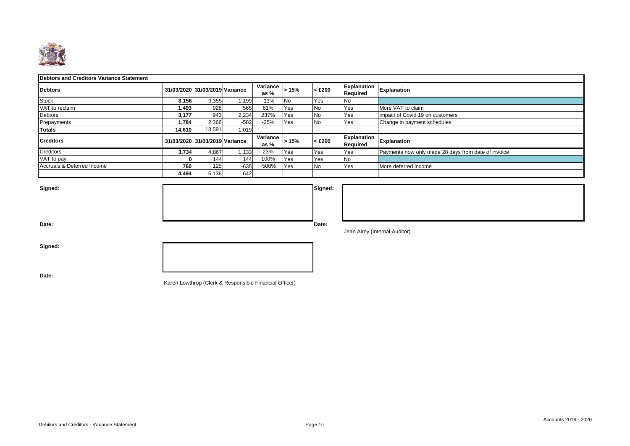

#### **Debtors and Creditors Variance Statement**

| <b>Debtors</b>             |        | 31/03/2020 31/03/2019 Variance |          | Variance<br>as $%$ | >15%       | $<$ £200  | Required                       | Explanation Explanation                             |
|----------------------------|--------|--------------------------------|----------|--------------------|------------|-----------|--------------------------------|-----------------------------------------------------|
| <b>Stock</b>               | 8,156  | 9,355                          | $-1,199$ | $-13%$             | <b>No</b>  | Yes       | <b>No</b>                      |                                                     |
| VAT to reclaim             | 1,493  | 928                            | 565      | 61%                | Yes        | No        | Yes                            | More VAT to claim                                   |
| Debtors                    | 3.177  | 943                            | 2,234    | 237%               | <b>Yes</b> | <b>No</b> | Yes                            | impact of Covid 19 on customers                     |
| Prepayments                | 1,784  | 2,366                          | $-582$   | $-25%$             | Yes        | No        | Yes                            | Change in payment schedules                         |
| Totals                     | 14,610 | 13,591                         | 1,019    |                    |            |           |                                |                                                     |
| <b>Creditors</b>           |        | 31/03/2020 31/03/2019 Variance |          | Variance<br>as $%$ | >15%       | $<$ £200  | Explanation<br><b>Required</b> | Explanation                                         |
| Creditors                  | 3.734  | 4,867                          | .133     | 23%                | <b>Yes</b> | Yes       | Yes                            | Payments now only made 28 days from date of invoice |
| VAT to pay                 |        | 144                            | 144      | 100%               | Yes        | Yes       | <b>No</b>                      |                                                     |
| Accruals & Deferred Income | 760    | 125                            | $-635$   | $-508%$            | Yes        | <b>No</b> | Yes                            | More deferred income                                |
|                            | 4,494  | 5,136                          | 642      |                    |            |           |                                |                                                     |



| w. |  |  |  |
|----|--|--|--|
|    |  |  |  |
|    |  |  |  |
|    |  |  |  |

Jean Airey (Internal Auditor)

**Signed:**

**Date:**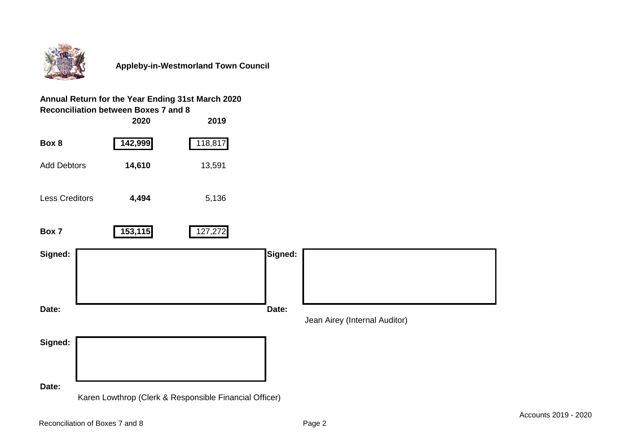

## **Annual Return for the Year Ending 31st March 2020 Reconciliation between Boxes 7 and 8**

|                       | 2020    | 2019                                                   |         |                               |
|-----------------------|---------|--------------------------------------------------------|---------|-------------------------------|
| Box 8                 | 142,999 | 118,817                                                |         |                               |
| <b>Add Debtors</b>    | 14,610  | 13,591                                                 |         |                               |
| <b>Less Creditors</b> | 4,494   | 5,136                                                  |         |                               |
| Box 7                 | 153,115 | 127,272                                                |         |                               |
| Signed:               |         |                                                        | Signed: |                               |
|                       |         |                                                        |         |                               |
|                       |         |                                                        |         |                               |
| Date:                 |         |                                                        | Date:   |                               |
|                       |         |                                                        |         | Jean Airey (Internal Auditor) |
| Signed:               |         |                                                        |         |                               |
|                       |         |                                                        |         |                               |
|                       |         |                                                        |         |                               |
| Date:                 |         | Karen Lowthrop (Clerk & Responsible Financial Officer) |         |                               |
|                       |         |                                                        |         |                               |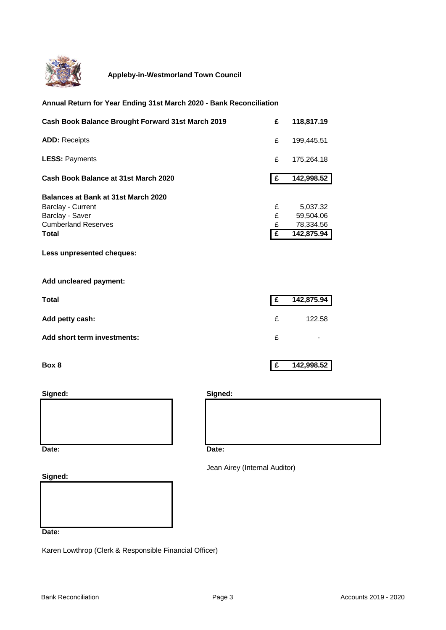

#### **Annual Return for Year Ending 31st March 2020 - Bank Reconciliation**

| Cash Book Balance Brought Forward 31st March 2019   | £  | 118,817.19 |
|-----------------------------------------------------|----|------------|
| <b>ADD: Receipts</b>                                | £  | 199,445.51 |
| <b>LESS: Payments</b>                               | £  | 175,264.18 |
| Cash Book Balance at 31st March 2020                | £  | 142,998.52 |
| Balances at Bank at 31st March 2020                 |    |            |
| Barclay - Current                                   | £  | 5,037.32   |
| Barclay - Saver                                     | £  | 59,504.06  |
| <b>Cumberland Reserves</b>                          | £  | 78,334.56  |
| Total                                               | Ι£ | 142,875.94 |
| Less unpresented cheques:<br>Add uncleared payment: |    |            |
|                                                     |    |            |
| <b>Total</b>                                        | E  | 142,875.94 |
| Add petty cash:                                     | £  | 122.58     |
| Add short term investments:                         | £  |            |
| Box 8                                               | £  | 142,998.52 |





Jean Airey (Internal Auditor)

**Signed:**

**Date:**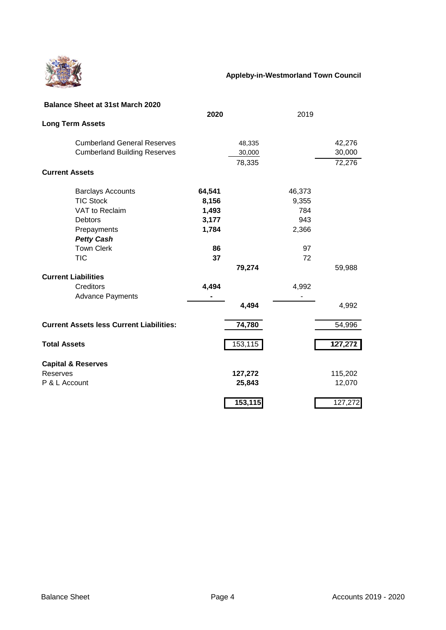

| <b>Balance Sheet at 31st March 2020</b>         |        |         |        |         |
|-------------------------------------------------|--------|---------|--------|---------|
|                                                 | 2020   |         | 2019   |         |
| <b>Long Term Assets</b>                         |        |         |        |         |
| <b>Cumberland General Reserves</b>              |        | 48,335  |        | 42,276  |
| <b>Cumberland Building Reserves</b>             |        | 30,000  |        | 30,000  |
|                                                 |        | 78,335  |        | 72,276  |
| <b>Current Assets</b>                           |        |         |        |         |
| <b>Barclays Accounts</b>                        | 64,541 |         | 46,373 |         |
| <b>TIC Stock</b>                                | 8,156  |         | 9,355  |         |
| VAT to Reclaim                                  | 1,493  |         | 784    |         |
| <b>Debtors</b>                                  | 3,177  |         | 943    |         |
| Prepayments                                     | 1,784  |         | 2,366  |         |
| <b>Petty Cash</b>                               |        |         |        |         |
| <b>Town Clerk</b>                               | 86     |         | 97     |         |
| <b>TIC</b>                                      | 37     |         | 72     |         |
|                                                 |        | 79,274  |        | 59,988  |
| <b>Current Liabilities</b>                      |        |         |        |         |
| Creditors                                       | 4,494  |         | 4,992  |         |
| <b>Advance Payments</b>                         |        |         |        |         |
|                                                 |        | 4,494   |        | 4,992   |
| <b>Current Assets less Current Liabilities:</b> |        | 74,780  |        | 54,996  |
| <b>Total Assets</b>                             |        | 153,115 |        | 127,272 |
| <b>Capital &amp; Reserves</b>                   |        |         |        |         |
| Reserves                                        |        | 127,272 |        | 115,202 |
| P & L Account                                   |        | 25,843  |        | 12,070  |
|                                                 |        | 153,115 |        | 127,272 |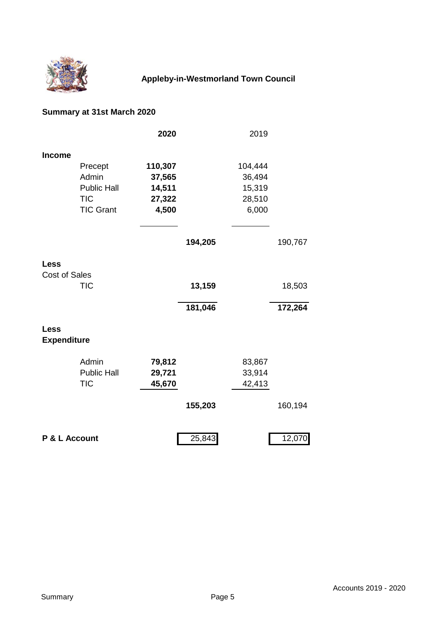

# **Summary at 31st March 2020**

|                                     |                    | 2020    |         | 2019    |                      |
|-------------------------------------|--------------------|---------|---------|---------|----------------------|
| <b>Income</b>                       |                    |         |         |         |                      |
|                                     | Precept            | 110,307 |         | 104,444 |                      |
|                                     | Admin              | 37,565  |         | 36,494  |                      |
|                                     | <b>Public Hall</b> | 14,511  |         | 15,319  |                      |
|                                     | <b>TIC</b>         | 27,322  |         | 28,510  |                      |
|                                     | <b>TIC Grant</b>   | 4,500   |         | 6,000   |                      |
|                                     |                    |         | 194,205 |         | 190,767              |
|                                     |                    |         |         |         |                      |
| <b>Less</b><br><b>Cost of Sales</b> |                    |         |         |         |                      |
|                                     | <b>TIC</b>         |         | 13,159  |         | 18,503               |
|                                     |                    |         | 181,046 |         | $\overline{172,}264$ |
| <b>Less</b><br><b>Expenditure</b>   |                    |         |         |         |                      |
|                                     |                    |         |         |         |                      |
|                                     | Admin              | 79,812  |         | 83,867  |                      |
|                                     | <b>Public Hall</b> | 29,721  |         | 33,914  |                      |
|                                     | <b>TIC</b>         | 45,670  |         | 42,413  |                      |
|                                     |                    |         | 155,203 |         | 160,194              |
| P & L Account                       |                    |         | 25,843  |         | 12,070               |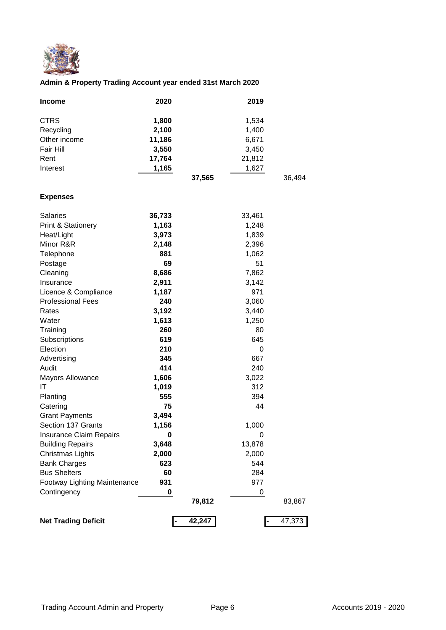

### **Admin & Property Trading Account year ended 31st March 2020**

| <b>Income</b> | 2020   | 2019   |        |
|---------------|--------|--------|--------|
| <b>CTRS</b>   | 1,800  | 1,534  |        |
| Recycling     | 2,100  | 1,400  |        |
| Other income  | 11,186 | 6,671  |        |
| Fair Hill     | 3,550  | 3,450  |        |
| Rent          | 17,764 | 21,812 |        |
| Interest      | 1,165  | 1,627  |        |
|               |        | 37,565 | 36,494 |

#### **Expenses**

| <b>Salaries</b>                | 36,733 |        | 33,461   |        |
|--------------------------------|--------|--------|----------|--------|
| Print & Stationery             | 1,163  |        | 1,248    |        |
| Heat/Light                     | 3,973  |        | 1,839    |        |
| Minor R&R                      | 2,148  |        | 2,396    |        |
| Telephone                      | 881    |        | 1,062    |        |
| Postage                        | 69     |        | 51       |        |
| Cleaning                       | 8,686  |        | 7,862    |        |
| Insurance                      | 2,911  |        | 3,142    |        |
| Licence & Compliance           | 1,187  |        | 971      |        |
| <b>Professional Fees</b>       | 240    |        | 3,060    |        |
| Rates                          | 3,192  |        | 3,440    |        |
| Water                          | 1,613  |        | 1,250    |        |
| Training                       | 260    |        | 80       |        |
| Subscriptions                  | 619    |        | 645      |        |
| Election                       | 210    |        | $\Omega$ |        |
| Advertising                    | 345    |        | 667      |        |
| Audit                          | 414    |        | 240      |        |
| Mayors Allowance               | 1,606  |        | 3,022    |        |
| ΙT                             | 1,019  |        | 312      |        |
| Planting                       | 555    |        | 394      |        |
| Catering                       | 75     |        | 44       |        |
| <b>Grant Payments</b>          | 3,494  |        |          |        |
| Section 137 Grants             | 1,156  |        | 1,000    |        |
| <b>Insurance Claim Repairs</b> | 0      |        | 0        |        |
| <b>Building Repairs</b>        | 3,648  |        | 13,878   |        |
| Christmas Lights               | 2,000  |        | 2,000    |        |
| <b>Bank Charges</b>            | 623    |        | 544      |        |
| <b>Bus Shelters</b>            | 60     |        | 284      |        |
| Footway Lighting Maintenance   | 931    |        | 977      |        |
| Contingency                    | 0      |        | 0        |        |
|                                |        | 79,812 |          | 83,867 |
| <b>Net Trading Deficit</b>     |        | 42,247 |          | 47,373 |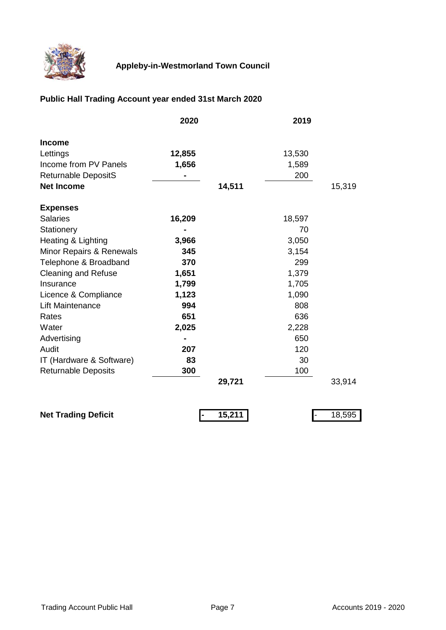

# **Public Hall Trading Account year ended 31st March 2020**

|                            | 2020   |        | 2019   |        |
|----------------------------|--------|--------|--------|--------|
| <b>Income</b>              |        |        |        |        |
| Lettings                   | 12,855 |        | 13,530 |        |
| Income from PV Panels      | 1,656  |        | 1,589  |        |
| <b>Returnable DepositS</b> |        |        | 200    |        |
| <b>Net Income</b>          |        | 14,511 |        | 15,319 |
| <b>Expenses</b>            |        |        |        |        |
| <b>Salaries</b>            | 16,209 |        | 18,597 |        |
| Stationery                 |        |        | 70     |        |
| Heating & Lighting         | 3,966  |        | 3,050  |        |
| Minor Repairs & Renewals   | 345    |        | 3,154  |        |
| Telephone & Broadband      | 370    |        | 299    |        |
| <b>Cleaning and Refuse</b> | 1,651  |        | 1,379  |        |
| Insurance                  | 1,799  |        | 1,705  |        |
| Licence & Compliance       | 1,123  |        | 1,090  |        |
| <b>Lift Maintenance</b>    | 994    |        | 808    |        |
| Rates                      | 651    |        | 636    |        |
| Water                      | 2,025  |        | 2,228  |        |
| Advertising                |        |        | 650    |        |
| Audit                      | 207    |        | 120    |        |
| IT (Hardware & Software)   | 83     |        | 30     |        |
| <b>Returnable Deposits</b> | 300    |        | 100    |        |
|                            |        | 29,721 |        | 33,914 |
| <b>Net Trading Deficit</b> |        | 15,211 |        | 18,595 |
|                            |        |        |        |        |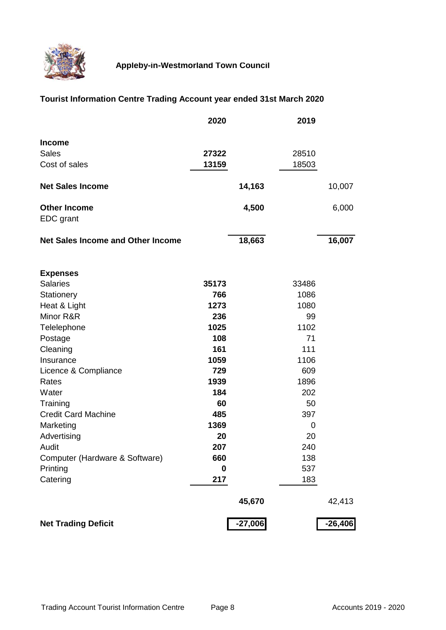

# **Tourist Information Centre Trading Account year ended 31st March 2020**

|                                          | 2020  |           | 2019  |           |
|------------------------------------------|-------|-----------|-------|-----------|
| <b>Income</b>                            |       |           |       |           |
| <b>Sales</b>                             | 27322 |           | 28510 |           |
| Cost of sales                            | 13159 |           | 18503 |           |
|                                          |       |           |       |           |
| <b>Net Sales Income</b>                  |       | 14,163    |       | 10,007    |
| <b>Other Income</b>                      |       | 4,500     |       | 6,000     |
| EDC grant                                |       |           |       |           |
|                                          |       |           |       |           |
| <b>Net Sales Income and Other Income</b> |       | 18,663    |       | 16,007    |
|                                          |       |           |       |           |
| <b>Expenses</b>                          |       |           |       |           |
| <b>Salaries</b>                          | 35173 |           | 33486 |           |
| Stationery                               | 766   |           | 1086  |           |
| Heat & Light                             | 1273  |           | 1080  |           |
| Minor R&R                                | 236   |           | 99    |           |
| Telelephone                              | 1025  |           | 1102  |           |
| Postage                                  | 108   |           | 71    |           |
| Cleaning                                 | 161   |           | 111   |           |
| Insurance                                | 1059  |           | 1106  |           |
| Licence & Compliance                     | 729   |           | 609   |           |
| Rates                                    | 1939  |           | 1896  |           |
| Water                                    | 184   |           | 202   |           |
| Training                                 | 60    |           | 50    |           |
| <b>Credit Card Machine</b>               | 485   |           | 397   |           |
| Marketing                                | 1369  |           | 0     |           |
| Advertising                              | 20    |           | 20    |           |
| Audit                                    | 207   |           | 240   |           |
| Computer (Hardware & Software)           | 660   |           | 138   |           |
| Printing                                 | 0     |           | 537   |           |
| Catering                                 | 217   |           | 183   |           |
|                                          |       | 45,670    |       | 42,413    |
|                                          |       |           |       |           |
| <b>Net Trading Deficit</b>               |       | $-27,006$ |       | $-26,406$ |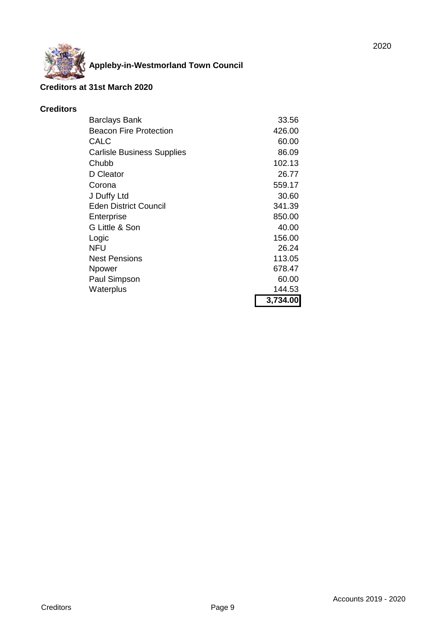

#### **Creditors at 31st March 2020**

#### **Creditors**

| <b>Barclays Bank</b>              | 33.56    |
|-----------------------------------|----------|
| <b>Beacon Fire Protection</b>     | 426.00   |
| CALC                              | 60.00    |
| <b>Carlisle Business Supplies</b> | 86.09    |
| Chubb                             | 102.13   |
| D Cleator                         | 26.77    |
| Corona                            | 559.17   |
| J Duffy Ltd                       | 30.60    |
| <b>Eden District Council</b>      | 341.39   |
| Enterprise                        | 850.00   |
| G Little & Son                    | 40.00    |
| Logic                             | 156.00   |
| NFU                               | 26.24    |
| <b>Nest Pensions</b>              | 113.05   |
| Npower                            | 678.47   |
| Paul Simpson                      | 60.00    |
| Waterplus                         | 144.53   |
|                                   | 3,734.00 |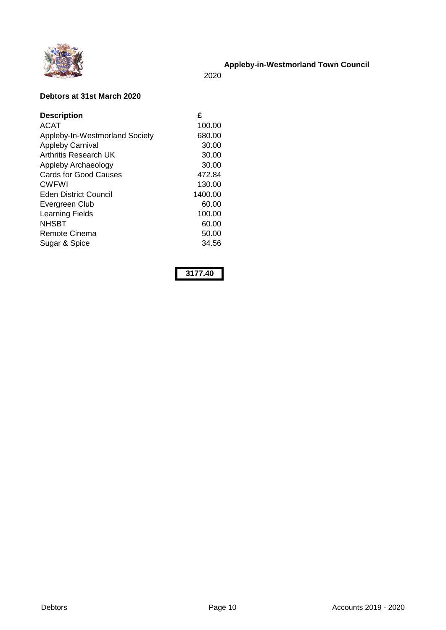

2020

#### **Debtors at 31st March 2020**

| <b>Description</b>             | £       |
|--------------------------------|---------|
| <b>ACAT</b>                    | 100.00  |
| Appleby-In-Westmorland Society | 680.00  |
| <b>Appleby Carnival</b>        | 30.00   |
| Arthritis Research UK          | 30.00   |
| Appleby Archaeology            | 30.00   |
| <b>Cards for Good Causes</b>   | 472.84  |
| <b>CWFWI</b>                   | 130.00  |
| Eden District Council          | 1400.00 |
| Evergreen Club                 | 60.00   |
| <b>Learning Fields</b>         | 100.00  |
| <b>NHSBT</b>                   | 60.00   |
| Remote Cinema                  | 50.00   |
| Sugar & Spice                  | 34.56   |

**3177.40**